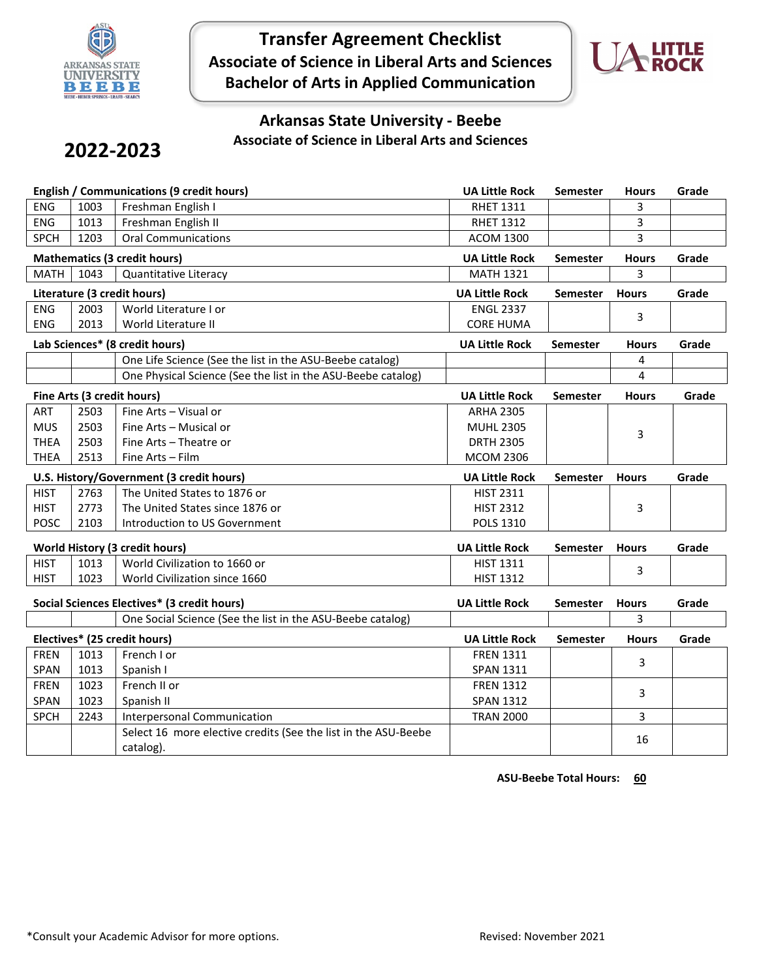

# **Transfer Agreement Checklist Associate of Science in Liberal Arts and Sciences Bachelor of Arts in Applied Communication**



### **Arkansas State University - Beebe Associate of Science in Liberal Arts and Sciences**

# **2022-2023**

| <b>English / Communications (9 credit hours)</b> |      | <b>UA Little Rock</b>                                                                      | Semester              | <b>Hours</b>    | Grade             |       |
|--------------------------------------------------|------|--------------------------------------------------------------------------------------------|-----------------------|-----------------|-------------------|-------|
| <b>ENG</b>                                       | 1003 | Freshman English I                                                                         | <b>RHET 1311</b>      |                 | 3                 |       |
| ENG                                              | 1013 | Freshman English II                                                                        | <b>RHET 1312</b>      |                 | 3                 |       |
| <b>SPCH</b>                                      | 1203 | <b>Oral Communications</b>                                                                 | <b>ACOM 1300</b>      |                 | 3                 |       |
|                                                  |      | <b>Mathematics (3 credit hours)</b>                                                        | <b>UA Little Rock</b> | <b>Semester</b> | <b>Hours</b>      | Grade |
| <b>MATH</b>                                      | 1043 | Quantitative Literacy                                                                      | <b>MATH 1321</b>      |                 | 3                 |       |
|                                                  |      | Literature (3 credit hours)                                                                | <b>UA Little Rock</b> | <b>Semester</b> | <b>Hours</b>      | Grade |
| <b>ENG</b>                                       | 2003 | World Literature I or                                                                      | <b>ENGL 2337</b>      |                 | 3                 |       |
| ENG                                              | 2013 | World Literature II                                                                        | <b>CORE HUMA</b>      |                 |                   |       |
|                                                  |      | Lab Sciences* (8 credit hours)                                                             | <b>UA Little Rock</b> | <b>Semester</b> | <b>Hours</b>      | Grade |
|                                                  |      | One Life Science (See the list in the ASU-Beebe catalog)                                   |                       |                 | 4                 |       |
|                                                  |      | One Physical Science (See the list in the ASU-Beebe catalog)                               |                       |                 | 4                 |       |
|                                                  |      | Fine Arts (3 credit hours)                                                                 | <b>UA Little Rock</b> | <b>Semester</b> | <b>Hours</b>      | Grade |
| ART                                              | 2503 | Fine Arts - Visual or                                                                      | <b>ARHA 2305</b>      |                 |                   |       |
| <b>MUS</b>                                       | 2503 | Fine Arts - Musical or                                                                     | <b>MUHL 2305</b>      |                 | 3                 |       |
| <b>THEA</b>                                      | 2503 | Fine Arts - Theatre or                                                                     | <b>DRTH 2305</b>      |                 |                   |       |
| <b>THEA</b>                                      | 2513 | Fine Arts - Film                                                                           | <b>MCOM 2306</b>      |                 |                   |       |
| U.S. History/Government (3 credit hours)         |      |                                                                                            |                       |                 |                   |       |
|                                                  |      |                                                                                            | <b>UA Little Rock</b> | <b>Semester</b> | <b>Hours</b>      | Grade |
| <b>HIST</b>                                      | 2763 | The United States to 1876 or                                                               | <b>HIST 2311</b>      |                 |                   |       |
| <b>HIST</b>                                      | 2773 | The United States since 1876 or                                                            | <b>HIST 2312</b>      |                 | 3                 |       |
| POSC                                             | 2103 | Introduction to US Government                                                              | POLS 1310             |                 |                   |       |
|                                                  |      | <b>World History (3 credit hours)</b>                                                      | <b>UA Little Rock</b> | <b>Semester</b> | <b>Hours</b>      | Grade |
| <b>HIST</b>                                      | 1013 | World Civilization to 1660 or                                                              | <b>HIST 1311</b>      |                 |                   |       |
| <b>HIST</b>                                      | 1023 | World Civilization since 1660                                                              | <b>HIST 1312</b>      |                 | 3                 |       |
|                                                  |      |                                                                                            |                       |                 |                   |       |
|                                                  |      | Social Sciences Electives* (3 credit hours)                                                | <b>UA Little Rock</b> | <b>Semester</b> | <b>Hours</b><br>3 | Grade |
|                                                  |      | One Social Science (See the list in the ASU-Beebe catalog)<br>Electives* (25 credit hours) | <b>UA Little Rock</b> | <b>Semester</b> | <b>Hours</b>      | Grade |
| <b>FREN</b>                                      | 1013 | French I or                                                                                | <b>FREN 1311</b>      |                 |                   |       |
| SPAN                                             | 1013 | Spanish I                                                                                  | <b>SPAN 1311</b>      |                 | 3                 |       |
| <b>FREN</b>                                      | 1023 | French II or                                                                               | <b>FREN 1312</b>      |                 |                   |       |
| <b>SPAN</b>                                      | 1023 | Spanish II                                                                                 | <b>SPAN 1312</b>      |                 | 3                 |       |
| <b>SPCH</b>                                      | 2243 | <b>Interpersonal Communication</b>                                                         | <b>TRAN 2000</b>      |                 | 3                 |       |
|                                                  |      | Select 16 more elective credits (See the list in the ASU-Beebe                             |                       |                 | 16                |       |

 **ASU-Beebe Total Hours: 60**